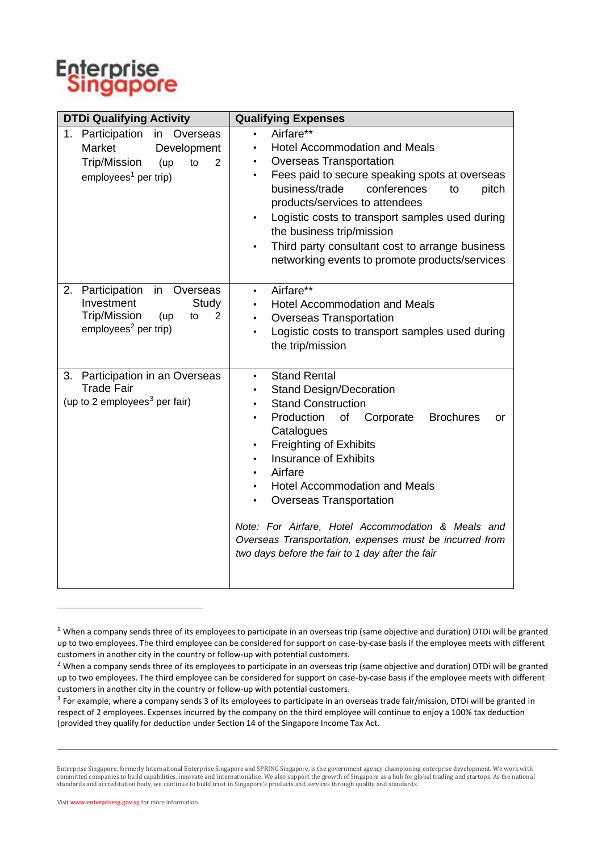

| <b>DTDi Qualifying Activity</b>                                                                                                                  | <b>Qualifying Expenses</b>                                                                                                                                                                                                                                                                                                                                                                                                                                                                                                          |
|--------------------------------------------------------------------------------------------------------------------------------------------------|-------------------------------------------------------------------------------------------------------------------------------------------------------------------------------------------------------------------------------------------------------------------------------------------------------------------------------------------------------------------------------------------------------------------------------------------------------------------------------------------------------------------------------------|
| 1. Participation<br>in Overseas<br>Market<br>Development<br><b>Trip/Mission</b><br>$\overline{2}$<br>(up<br>to<br>$employees1$ per trip)         | Airfare**<br>$\bullet$<br><b>Hotel Accommodation and Meals</b><br>$\bullet$<br>Overseas Transportation<br>$\bullet$<br>Fees paid to secure speaking spots at overseas<br>$\bullet$<br>business/trade<br>conferences<br>pitch<br>to<br>products/services to attendees<br>Logistic costs to transport samples used during<br>$\bullet$<br>the business trip/mission<br>Third party consultant cost to arrange business<br>$\bullet$<br>networking events to promote products/services                                                 |
| Participation in Overseas<br>2.<br>Investment<br>Study<br><b>Trip/Mission</b><br>(up<br>$\overline{2}$<br>to<br>employees <sup>2</sup> per trip) | Airfare**<br>$\bullet$<br><b>Hotel Accommodation and Meals</b><br><b>Overseas Transportation</b><br>$\bullet$<br>Logistic costs to transport samples used during<br>$\bullet$<br>the trip/mission                                                                                                                                                                                                                                                                                                                                   |
| Participation in an Overseas<br>3.<br><b>Trade Fair</b><br>(up to 2 employees <sup>3</sup> per fair)                                             | <b>Stand Rental</b><br>$\bullet$<br><b>Stand Design/Decoration</b><br><b>Stand Construction</b><br>Production<br>of<br>Corporate<br><b>Brochures</b><br>or<br>Catalogues<br><b>Freighting of Exhibits</b><br><b>Insurance of Exhibits</b><br>Airfare<br>$\bullet$<br><b>Hotel Accommodation and Meals</b><br>$\bullet$<br>Overseas Transportation<br>$\bullet$<br>Note: For Airfare, Hotel Accommodation & Meals and<br>Overseas Transportation, expenses must be incurred from<br>two days before the fair to 1 day after the fair |

 $1$  When a company sends three of its employees to participate in an overseas trip (same objective and duration) DTDi will be granted up to two employees. The third employee can be considered for support on case-by-case basis if the employee meets with different customers in another city in the country or follow-up with potential customers.

<sup>&</sup>lt;sup>2</sup> When a company sends three of its employees to participate in an overseas trip (same objective and duration) DTDi will be granted up to two employees. The third employee can be considered for support on case-by-case basis if the employee meets with different customers in another city in the country or follow-up with potential customers.

 $^3$  For example, where a company sends 3 of its employees to participate in an overseas trade fair/mission, DTDi will be granted in respect of 2 employees. Expenses incurred by the company on the third employee will continue to enjoy a 100% tax deduction (provided they qualify for deduction under Section 14 of the Singapore Income Tax Act.

Enterprise Singapore, formerly International Enterprise Singapore and SPRING Singapore, is the government agency championing enterprise development. We work with<br>committed companies to build capabilities, innovate and inte standards and accreditation body, we continue to build trust in Singapore's products and services through quality and standards.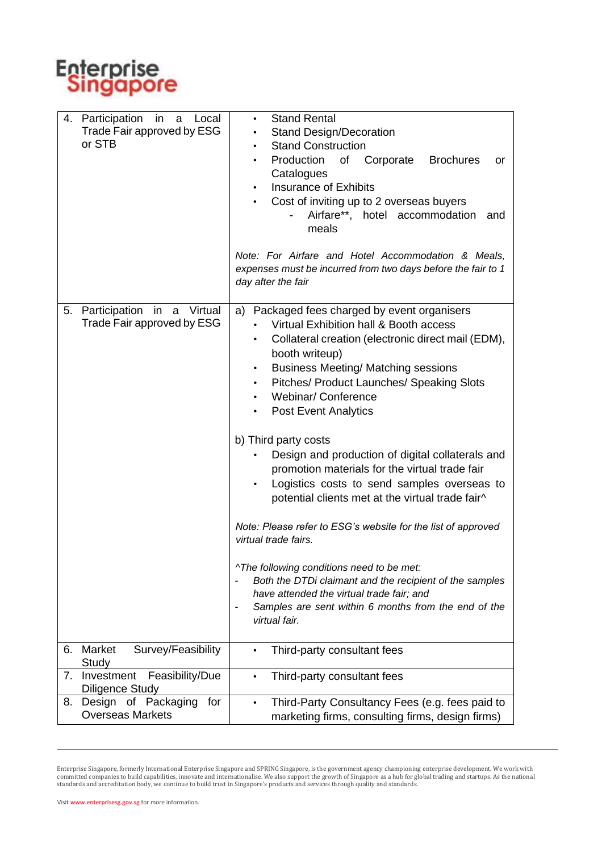

| Participation<br>4.<br>in a<br>Local<br>Trade Fair approved by ESG<br>or STB | <b>Stand Rental</b><br>$\bullet$<br><b>Stand Design/Decoration</b><br><b>Stand Construction</b><br>٠<br>Production<br>of<br>Corporate<br><b>Brochures</b><br>or<br>$\bullet$<br>Catalogues<br><b>Insurance of Exhibits</b><br>Cost of inviting up to 2 overseas buyers<br>Airfare**, hotel accommodation<br>and<br>meals<br>Note: For Airfare and Hotel Accommodation & Meals,<br>expenses must be incurred from two days before the fair to 1<br>day after the fair                                                                                                                                                                                                                                                                                                                                                                                                                                                                             |
|------------------------------------------------------------------------------|--------------------------------------------------------------------------------------------------------------------------------------------------------------------------------------------------------------------------------------------------------------------------------------------------------------------------------------------------------------------------------------------------------------------------------------------------------------------------------------------------------------------------------------------------------------------------------------------------------------------------------------------------------------------------------------------------------------------------------------------------------------------------------------------------------------------------------------------------------------------------------------------------------------------------------------------------|
| Participation in a Virtual<br>5.<br>Trade Fair approved by ESG               | Packaged fees charged by event organisers<br>a)<br>Virtual Exhibition hall & Booth access<br>Collateral creation (electronic direct mail (EDM),<br>booth writeup)<br><b>Business Meeting/ Matching sessions</b><br>$\bullet$<br>Pitches/ Product Launches/ Speaking Slots<br>$\bullet$<br><b>Webinar/Conference</b><br>$\bullet$<br><b>Post Event Analytics</b><br>$\bullet$<br>b) Third party costs<br>Design and production of digital collaterals and<br>promotion materials for the virtual trade fair<br>Logistics costs to send samples overseas to<br>$\bullet$<br>potential clients met at the virtual trade fair^<br>Note: Please refer to ESG's website for the list of approved<br>virtual trade fairs.<br>^The following conditions need to be met:<br>Both the DTDi claimant and the recipient of the samples<br>have attended the virtual trade fair; and<br>Samples are sent within 6 months from the end of the<br>virtual fair. |
| Survey/Feasibility<br>Market<br>6.                                           | Third-party consultant fees<br>$\bullet$                                                                                                                                                                                                                                                                                                                                                                                                                                                                                                                                                                                                                                                                                                                                                                                                                                                                                                         |
| Study<br>7.<br>Investment                                                    | $\bullet$                                                                                                                                                                                                                                                                                                                                                                                                                                                                                                                                                                                                                                                                                                                                                                                                                                                                                                                                        |
| Feasibility/Due<br><b>Diligence Study</b>                                    | Third-party consultant fees                                                                                                                                                                                                                                                                                                                                                                                                                                                                                                                                                                                                                                                                                                                                                                                                                                                                                                                      |
| Design of Packaging<br>for<br>8.<br><b>Overseas Markets</b>                  | Third-Party Consultancy Fees (e.g. fees paid to<br>$\bullet$<br>marketing firms, consulting firms, design firms)                                                                                                                                                                                                                                                                                                                                                                                                                                                                                                                                                                                                                                                                                                                                                                                                                                 |

Enterprise Singapore, formerly International Enterprise Singapore and SPRING Singapore, is the government agency championing enterprise development. We work with<br>committed companies to build capabilities, innovate and inte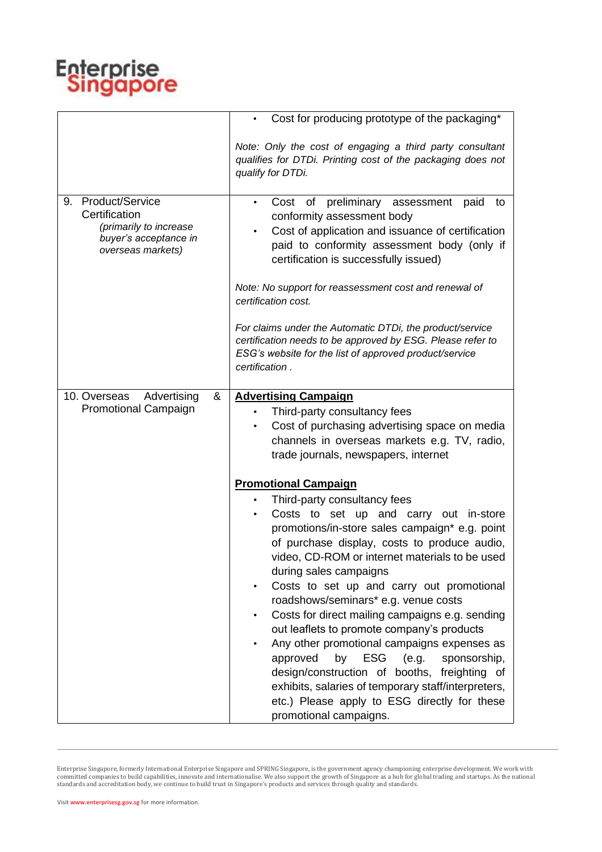

|                                                                                                                       | Cost for producing prototype of the packaging*                                                                                                                                                                                                                                                                                                                                                                                                                                                                                                                                                                                                                                                                                                                                                                  |
|-----------------------------------------------------------------------------------------------------------------------|-----------------------------------------------------------------------------------------------------------------------------------------------------------------------------------------------------------------------------------------------------------------------------------------------------------------------------------------------------------------------------------------------------------------------------------------------------------------------------------------------------------------------------------------------------------------------------------------------------------------------------------------------------------------------------------------------------------------------------------------------------------------------------------------------------------------|
|                                                                                                                       | Note: Only the cost of engaging a third party consultant<br>qualifies for DTDi. Printing cost of the packaging does not<br>qualify for DTDi.                                                                                                                                                                                                                                                                                                                                                                                                                                                                                                                                                                                                                                                                    |
| <b>Product/Service</b><br>9.<br>Certification<br>(primarily to increase<br>buyer's acceptance in<br>overseas markets) | Cost of preliminary assessment<br>paid<br>to<br>$\bullet$<br>conformity assessment body<br>Cost of application and issuance of certification<br>$\bullet$<br>paid to conformity assessment body (only if<br>certification is successfully issued)<br>Note: No support for reassessment cost and renewal of<br>certification cost.<br>For claims under the Automatic DTDi, the product/service<br>certification needs to be approved by ESG. Please refer to<br>ESG's website for the list of approved product/service<br>certification.                                                                                                                                                                                                                                                                         |
| Advertising<br>10. Overseas<br>&<br><b>Promotional Campaign</b>                                                       | <b>Advertising Campaign</b><br>Third-party consultancy fees<br>$\bullet$<br>Cost of purchasing advertising space on media<br>$\bullet$<br>channels in overseas markets e.g. TV, radio,<br>trade journals, newspapers, internet                                                                                                                                                                                                                                                                                                                                                                                                                                                                                                                                                                                  |
|                                                                                                                       | <b>Promotional Campaign</b><br>Third-party consultancy fees<br>Costs to set up and carry out in-store<br>$\bullet$<br>promotions/in-store sales campaign* e.g. point<br>of purchase display, costs to produce audio,<br>video, CD-ROM or internet materials to be used<br>during sales campaigns<br>Costs to set up and carry out promotional<br>$\bullet$<br>roadshows/seminars* e.g. venue costs<br>Costs for direct mailing campaigns e.g. sending<br>$\bullet$<br>out leaflets to promote company's products<br>Any other promotional campaigns expenses as<br>$\bullet$<br>ESG<br>(e.g.<br>approved<br>by<br>sponsorship,<br>design/construction of booths, freighting of<br>exhibits, salaries of temporary staff/interpreters,<br>etc.) Please apply to ESG directly for these<br>promotional campaigns. |

Enterprise Singapore, formerly International Enterprise Singapore and SPRING Singapore, is the government agency championing enterprise development. We work with<br>committed companies to build capabilities, innovate and inte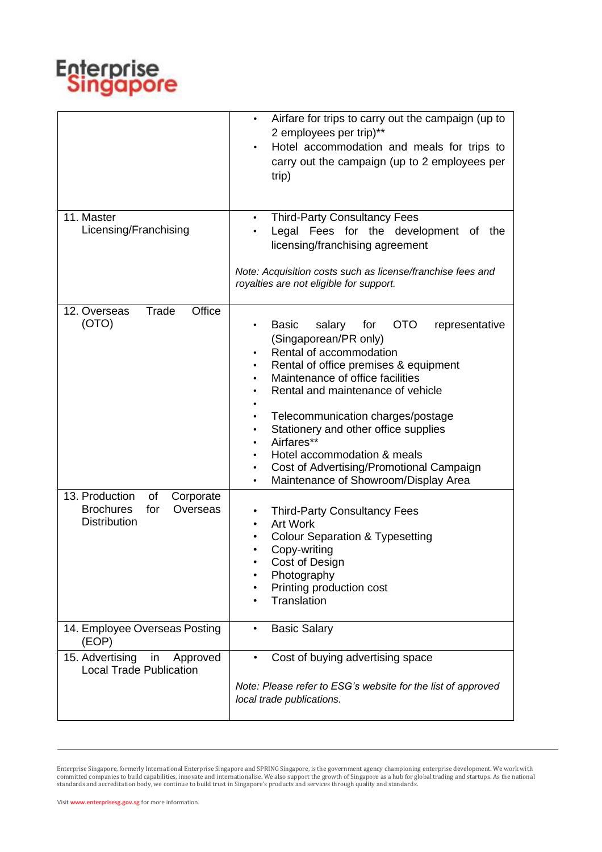

|                                                                                                 | Airfare for trips to carry out the campaign (up to<br>٠<br>2 employees per trip)**<br>Hotel accommodation and meals for trips to<br>$\bullet$<br>carry out the campaign (up to 2 employees per<br>trip)                                                                                                                                                                                                                                                                                                    |
|-------------------------------------------------------------------------------------------------|------------------------------------------------------------------------------------------------------------------------------------------------------------------------------------------------------------------------------------------------------------------------------------------------------------------------------------------------------------------------------------------------------------------------------------------------------------------------------------------------------------|
| 11. Master<br>Licensing/Franchising                                                             | <b>Third-Party Consultancy Fees</b><br>$\bullet$<br>Legal Fees for the development of the<br>$\bullet$<br>licensing/franchising agreement<br>Note: Acquisition costs such as license/franchise fees and<br>royalties are not eligible for support.                                                                                                                                                                                                                                                         |
| Trade<br>Office<br>12. Overseas<br>(OTO)                                                        | OTO<br><b>Basic</b><br>salary<br>for<br>representative<br>$\bullet$<br>(Singaporean/PR only)<br>Rental of accommodation<br>٠<br>Rental of office premises & equipment<br>٠<br>Maintenance of office facilities<br>$\bullet$<br>Rental and maintenance of vehicle<br>Telecommunication charges/postage<br>Stationery and other office supplies<br>٠<br>Airfares**<br>٠<br>Hotel accommodation & meals<br>Cost of Advertising/Promotional Campaign<br>٠<br>Maintenance of Showroom/Display Area<br>$\bullet$ |
| 13. Production<br>of<br>Corporate<br><b>Brochures</b><br>for<br>Overseas<br><b>Distribution</b> | <b>Third-Party Consultancy Fees</b><br>$\bullet$<br><b>Art Work</b><br>$\bullet$<br><b>Colour Separation &amp; Typesetting</b><br>Copy-writing<br>Cost of Design<br>Photography<br>Printing production cost<br>Translation                                                                                                                                                                                                                                                                                 |
| 14. Employee Overseas Posting<br>(EOP)                                                          | <b>Basic Salary</b><br>$\bullet$                                                                                                                                                                                                                                                                                                                                                                                                                                                                           |
| 15. Advertising<br>Approved<br>in<br><b>Local Trade Publication</b>                             | Cost of buying advertising space<br>$\bullet$<br>Note: Please refer to ESG's website for the list of approved<br>local trade publications.                                                                                                                                                                                                                                                                                                                                                                 |

Enterprise Singapore, formerly International Enterprise Singapore and SPRING Singapore, is the government agency championing enterprise development. We work with<br>committed companies to build capabilities, innovate and inte